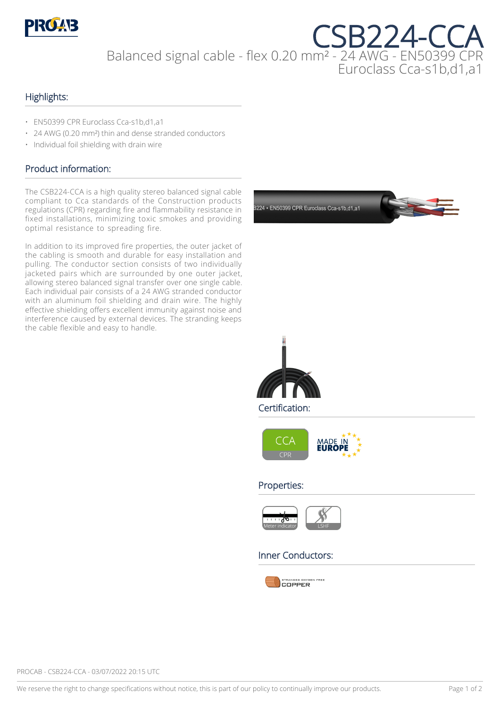

CSB224-CCA Balanced signal cable - flex 0.20 mm² - 24 AWG - EN50399 CPR Euroclass Cca-s1b,d1,a1

#### Highlights:

- EN50399 CPR Euroclass Cca-s1b,d1,a1
- 24 AWG (0.20 mm²) thin and dense stranded conductors
- Individual foil shielding with drain wire

#### Product information:

The CSB224-CCA is a high quality stereo balanced signal cable compliant to Cca standards of the Construction products regulations (CPR) regarding fire and flammability resistance in fixed installations, minimizing toxic smokes and providing optimal resistance to spreading fire.

In addition to its improved fire properties, the outer jacket of the cabling is smooth and durable for easy installation and pulling. The conductor section consists of two individually jacketed pairs which are surrounded by one outer jacket, allowing stereo balanced signal transfer over one single cable. Each individual pair consists of a 24 AWG stranded conductor with an aluminum foil shielding and drain wire. The highly effective shielding offers excellent immunity against noise and interference caused by external devices. The stranding keeps the cable flexible and easy to handle.